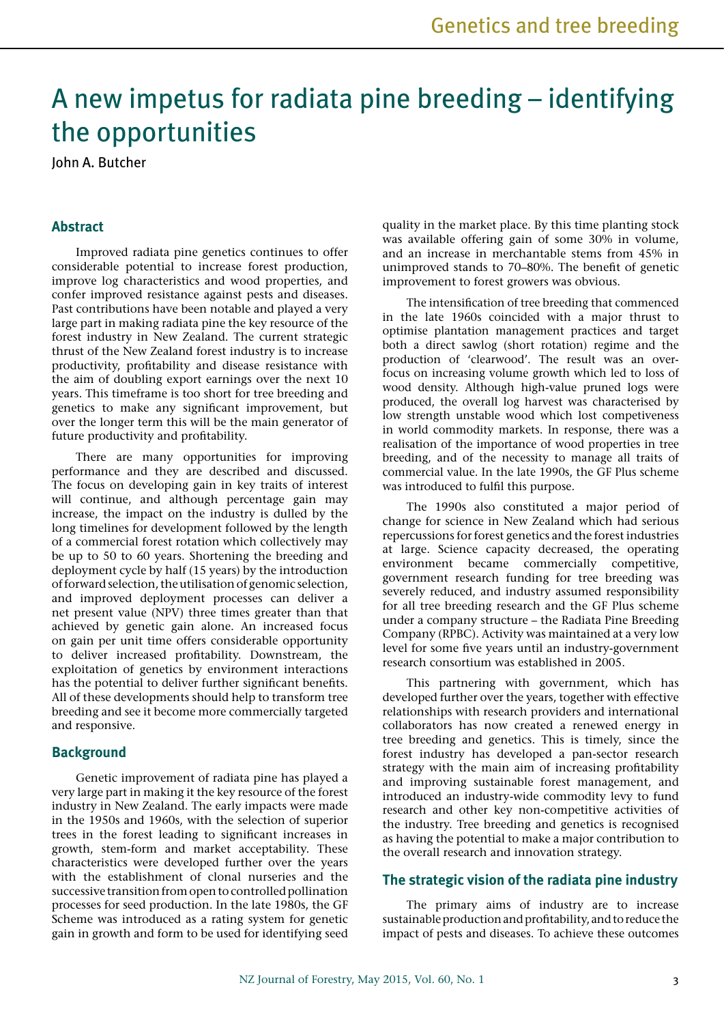# A new impetus for radiata pine breeding – identifying the opportunities

John A. Butcher

# **Abstract**

Improved radiata pine genetics continues to offer considerable potential to increase forest production, improve log characteristics and wood properties, and confer improved resistance against pests and diseases. Past contributions have been notable and played a very large part in making radiata pine the key resource of the forest industry in New Zealand. The current strategic thrust of the New Zealand forest industry is to increase productivity, profitability and disease resistance with the aim of doubling export earnings over the next 10 years. This timeframe is too short for tree breeding and genetics to make any significant improvement, but over the longer term this will be the main generator of future productivity and profitability.

There are many opportunities for improving performance and they are described and discussed. The focus on developing gain in key traits of interest will continue, and although percentage gain may increase, the impact on the industry is dulled by the long timelines for development followed by the length of a commercial forest rotation which collectively may be up to 50 to 60 years. Shortening the breeding and deployment cycle by half (15 years) by the introduction of forward selection, the utilisation of genomic selection, and improved deployment processes can deliver a net present value (NPV) three times greater than that achieved by genetic gain alone. An increased focus on gain per unit time offers considerable opportunity to deliver increased profitability. Downstream, the exploitation of genetics by environment interactions has the potential to deliver further significant benefits. All of these developments should help to transform tree breeding and see it become more commercially targeted and responsive.

## **Background**

Genetic improvement of radiata pine has played a very large part in making it the key resource of the forest industry in New Zealand. The early impacts were made in the 1950s and 1960s, with the selection of superior trees in the forest leading to significant increases in growth, stem-form and market acceptability. These characteristics were developed further over the years with the establishment of clonal nurseries and the successive transition from open to controlled pollination processes for seed production. In the late 1980s, the GF Scheme was introduced as a rating system for genetic gain in growth and form to be used for identifying seed quality in the market place. By this time planting stock was available offering gain of some 30% in volume, and an increase in merchantable stems from 45% in unimproved stands to 70–80%. The benefit of genetic improvement to forest growers was obvious.

The intensification of tree breeding that commenced in the late 1960s coincided with a major thrust to optimise plantation management practices and target both a direct sawlog (short rotation) regime and the production of 'clearwood'. The result was an overfocus on increasing volume growth which led to loss of wood density. Although high-value pruned logs were produced, the overall log harvest was characterised by low strength unstable wood which lost competiveness in world commodity markets. In response, there was a realisation of the importance of wood properties in tree breeding, and of the necessity to manage all traits of commercial value. In the late 1990s, the GF Plus scheme was introduced to fulfil this purpose.

The 1990s also constituted a major period of change for science in New Zealand which had serious repercussions for forest genetics and the forest industries at large. Science capacity decreased, the operating environment became commercially competitive, government research funding for tree breeding was severely reduced, and industry assumed responsibility for all tree breeding research and the GF Plus scheme under a company structure – the Radiata Pine Breeding Company (RPBC). Activity was maintained at a very low level for some five years until an industry-government research consortium was established in 2005.

This partnering with government, which has developed further over the years, together with effective relationships with research providers and international collaborators has now created a renewed energy in tree breeding and genetics. This is timely, since the forest industry has developed a pan-sector research strategy with the main aim of increasing profitability and improving sustainable forest management, and introduced an industry-wide commodity levy to fund research and other key non-competitive activities of the industry. Tree breeding and genetics is recognised as having the potential to make a major contribution to the overall research and innovation strategy.

## **The strategic vision of the radiata pine industry**

The primary aims of industry are to increase sustainable production and profitability, and to reduce the impact of pests and diseases. To achieve these outcomes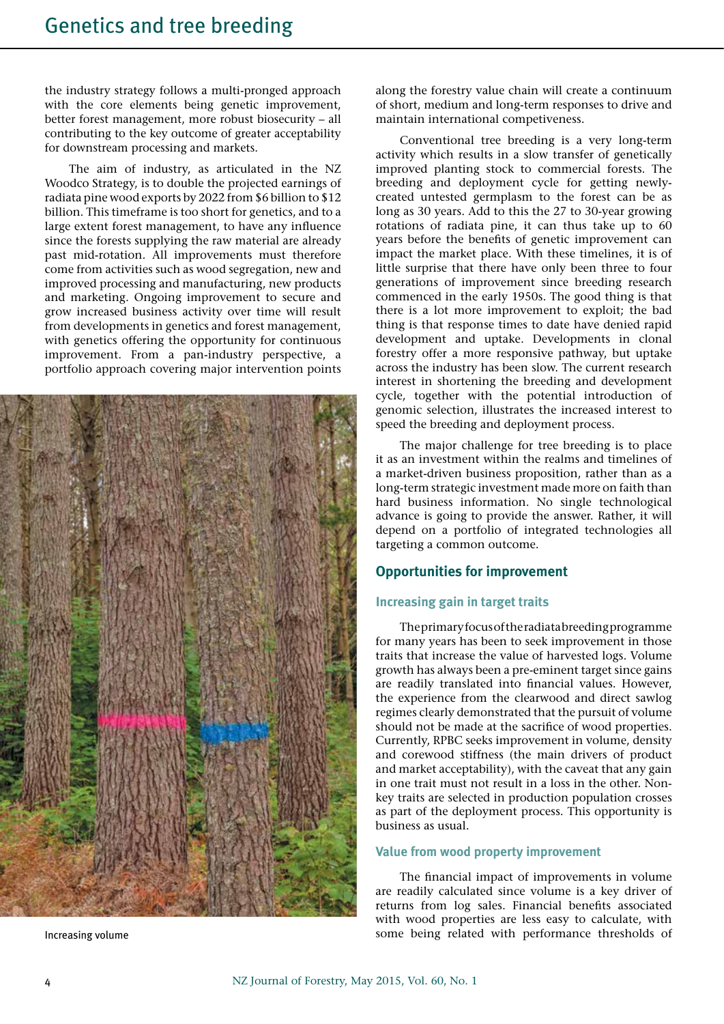the industry strategy follows a multi-pronged approach with the core elements being genetic improvement, better forest management, more robust biosecurity – all contributing to the key outcome of greater acceptability for downstream processing and markets.

The aim of industry, as articulated in the NZ Woodco Strategy, is to double the projected earnings of radiata pine wood exports by 2022 from \$6 billion to \$12 billion. This timeframe is too short for genetics, and to a large extent forest management, to have any influence since the forests supplying the raw material are already past mid-rotation. All improvements must therefore come from activities such as wood segregation, new and improved processing and manufacturing, new products and marketing. Ongoing improvement to secure and grow increased business activity over time will result from developments in genetics and forest management, with genetics offering the opportunity for continuous improvement. From a pan-industry perspective, a portfolio approach covering major intervention points



along the forestry value chain will create a continuum of short, medium and long-term responses to drive and maintain international competiveness.

Conventional tree breeding is a very long-term activity which results in a slow transfer of genetically improved planting stock to commercial forests. The breeding and deployment cycle for getting newlycreated untested germplasm to the forest can be as long as 30 years. Add to this the 27 to 30-year growing rotations of radiata pine, it can thus take up to 60 years before the benefits of genetic improvement can impact the market place. With these timelines, it is of little surprise that there have only been three to four generations of improvement since breeding research commenced in the early 1950s. The good thing is that there is a lot more improvement to exploit; the bad thing is that response times to date have denied rapid development and uptake. Developments in clonal forestry offer a more responsive pathway, but uptake across the industry has been slow. The current research interest in shortening the breeding and development cycle, together with the potential introduction of genomic selection, illustrates the increased interest to speed the breeding and deployment process.

The major challenge for tree breeding is to place it as an investment within the realms and timelines of a market-driven business proposition, rather than as a long-term strategic investment made more on faith than hard business information. No single technological advance is going to provide the answer. Rather, it will depend on a portfolio of integrated technologies all targeting a common outcome.

# **Opportunities for improvement**

## **Increasing gain in target traits**

The primary focus of the radiata breeding programme for many years has been to seek improvement in those traits that increase the value of harvested logs. Volume growth has always been a pre-eminent target since gains are readily translated into financial values. However, the experience from the clearwood and direct sawlog regimes clearly demonstrated that the pursuit of volume should not be made at the sacrifice of wood properties. Currently, RPBC seeks improvement in volume, density and corewood stiffness (the main drivers of product and market acceptability), with the caveat that any gain in one trait must not result in a loss in the other. Nonkey traits are selected in production population crosses as part of the deployment process. This opportunity is business as usual.

## **Value from wood property improvement**

The financial impact of improvements in volume are readily calculated since volume is a key driver of returns from log sales. Financial benefits associated with wood properties are less easy to calculate, with Increasing volume some being related with performance thresholds of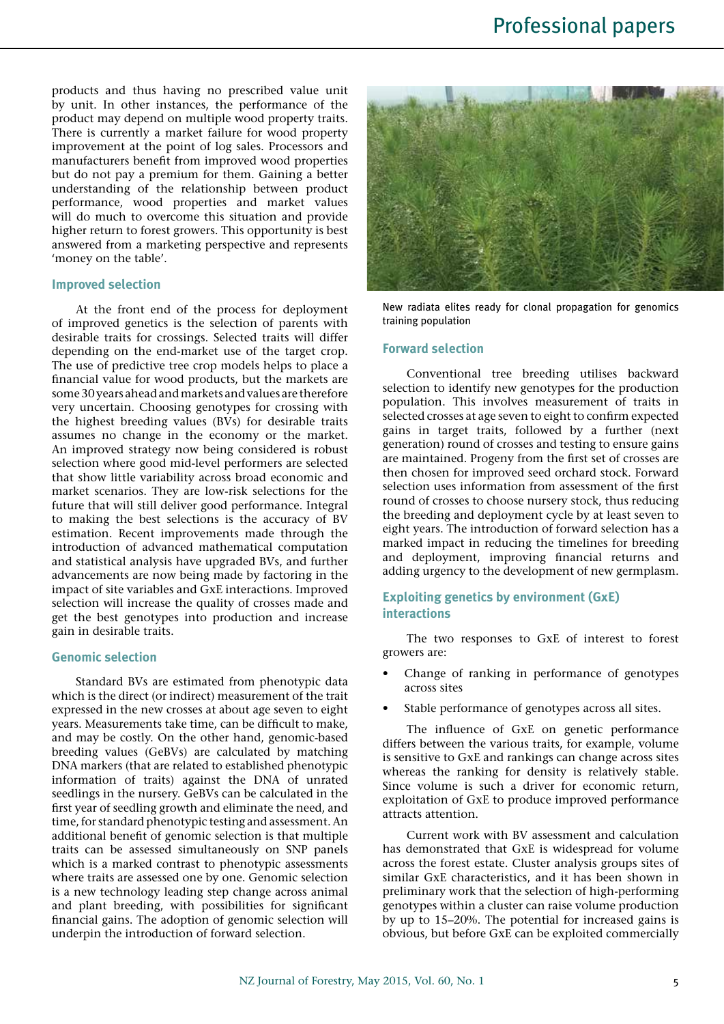products and thus having no prescribed value unit by unit. In other instances, the performance of the product may depend on multiple wood property traits. There is currently a market failure for wood property improvement at the point of log sales. Processors and manufacturers benefit from improved wood properties but do not pay a premium for them. Gaining a better understanding of the relationship between product performance, wood properties and market values will do much to overcome this situation and provide higher return to forest growers. This opportunity is best answered from a marketing perspective and represents 'money on the table'.

## **Improved selection**

At the front end of the process for deployment of improved genetics is the selection of parents with desirable traits for crossings. Selected traits will differ depending on the end-market use of the target crop. The use of predictive tree crop models helps to place a financial value for wood products, but the markets are some 30 years ahead and markets and values are therefore very uncertain. Choosing genotypes for crossing with the highest breeding values (BVs) for desirable traits assumes no change in the economy or the market. An improved strategy now being considered is robust selection where good mid-level performers are selected that show little variability across broad economic and market scenarios. They are low-risk selections for the future that will still deliver good performance. Integral to making the best selections is the accuracy of BV estimation. Recent improvements made through the introduction of advanced mathematical computation and statistical analysis have upgraded BVs, and further advancements are now being made by factoring in the impact of site variables and GxE interactions. Improved selection will increase the quality of crosses made and get the best genotypes into production and increase gain in desirable traits.

## **Genomic selection**

Standard BVs are estimated from phenotypic data which is the direct (or indirect) measurement of the trait expressed in the new crosses at about age seven to eight years. Measurements take time, can be difficult to make, and may be costly. On the other hand, genomic-based breeding values (GeBVs) are calculated by matching DNA markers (that are related to established phenotypic information of traits) against the DNA of unrated seedlings in the nursery. GeBVs can be calculated in the first year of seedling growth and eliminate the need, and time, for standard phenotypic testing and assessment. An additional benefit of genomic selection is that multiple traits can be assessed simultaneously on SNP panels which is a marked contrast to phenotypic assessments where traits are assessed one by one. Genomic selection is a new technology leading step change across animal and plant breeding, with possibilities for significant financial gains. The adoption of genomic selection will underpin the introduction of forward selection.



New radiata elites ready for clonal propagation for genomics training population

#### **Forward selection**

Conventional tree breeding utilises backward selection to identify new genotypes for the production population. This involves measurement of traits in selected crosses at age seven to eight to confirm expected gains in target traits, followed by a further (next generation) round of crosses and testing to ensure gains are maintained. Progeny from the first set of crosses are then chosen for improved seed orchard stock. Forward selection uses information from assessment of the first round of crosses to choose nursery stock, thus reducing the breeding and deployment cycle by at least seven to eight years. The introduction of forward selection has a marked impact in reducing the timelines for breeding and deployment, improving financial returns and adding urgency to the development of new germplasm.

## **Exploiting genetics by environment (GxE) interactions**

The two responses to GxE of interest to forest growers are:

- Change of ranking in performance of genotypes across sites
- Stable performance of genotypes across all sites.

The influence of GxE on genetic performance differs between the various traits, for example, volume is sensitive to GxE and rankings can change across sites whereas the ranking for density is relatively stable. Since volume is such a driver for economic return, exploitation of GxE to produce improved performance attracts attention.

Current work with BV assessment and calculation has demonstrated that GxE is widespread for volume across the forest estate. Cluster analysis groups sites of similar GxE characteristics, and it has been shown in preliminary work that the selection of high-performing genotypes within a cluster can raise volume production by up to 15–20%. The potential for increased gains is obvious, but before GxE can be exploited commercially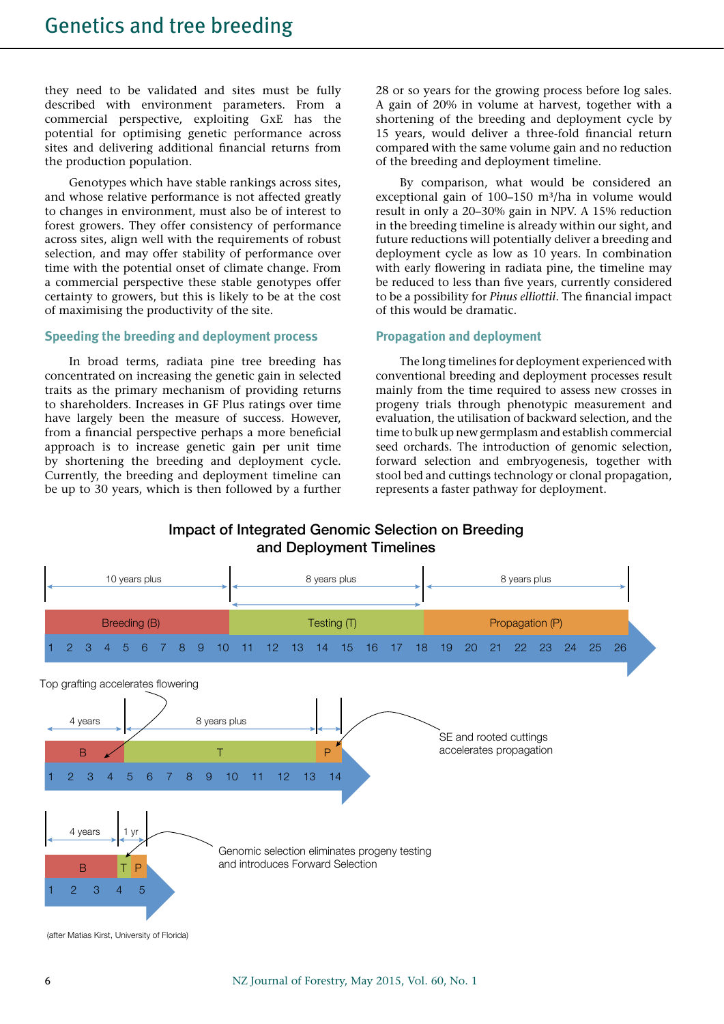they need to be validated and sites must be fully described with environment parameters. From a commercial perspective, exploiting GxE has the potential for optimising genetic performance across sites and delivering additional financial returns from the production population.

Genotypes which have stable rankings across sites, and whose relative performance is not affected greatly to changes in environment, must also be of interest to forest growers. They offer consistency of performance across sites, align well with the requirements of robust selection, and may offer stability of performance over time with the potential onset of climate change. From a commercial perspective these stable genotypes offer certainty to growers, but this is likely to be at the cost of maximising the productivity of the site.

## **Speeding the breeding and deployment process**

In broad terms, radiata pine tree breeding has concentrated on increasing the genetic gain in selected traits as the primary mechanism of providing returns to shareholders. Increases in GF Plus ratings over time have largely been the measure of success. However, from a financial perspective perhaps a more beneficial approach is to increase genetic gain per unit time by shortening the breeding and deployment cycle. Currently, the breeding and deployment timeline can be up to 30 years, which is then followed by a further

28 or so years for the growing process before log sales. A gain of 20% in volume at harvest, together with a shortening of the breeding and deployment cycle by 15 years, would deliver a three-fold financial return compared with the same volume gain and no reduction of the breeding and deployment timeline.

By comparison, what would be considered an exceptional gain of  $100-150$  m<sup>3</sup>/ha in volume would result in only a 20–30% gain in NPV. A 15% reduction in the breeding timeline is already within our sight, and future reductions will potentially deliver a breeding and deployment cycle as low as 10 years. In combination with early flowering in radiata pine, the timeline may be reduced to less than five years, currently considered to be a possibility for *Pinus elliottii*. The financial impact of this would be dramatic.

## **Propagation and deployment**

The long timelines for deployment experienced with conventional breeding and deployment processes result mainly from the time required to assess new crosses in progeny trials through phenotypic measurement and evaluation, the utilisation of backward selection, and the time to bulk up new germplasm and establish commercial seed orchards. The introduction of genomic selection, forward selection and embryogenesis, together with stool bed and cuttings technology or clonal propagation, represents a faster pathway for deployment.

# Impact of Integrated Genomic Selection on Breeding and Deployment Timelines



<sup>(</sup>after Matias Kirst, University of Florida)